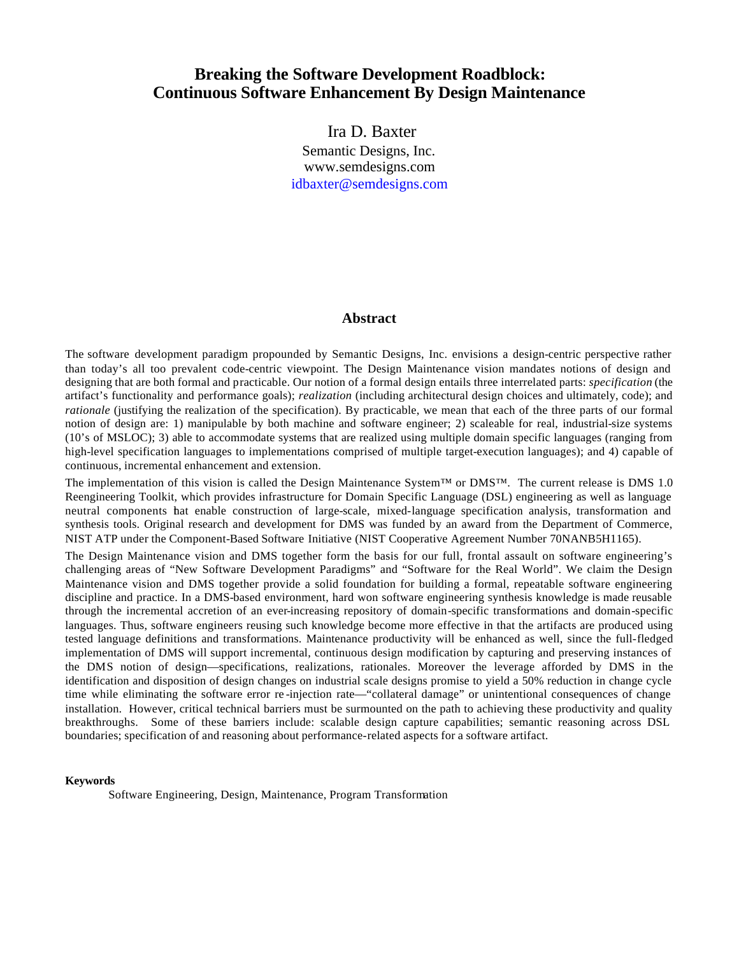# **Breaking the Software Development Roadblock: Continuous Software Enhancement By Design Maintenance**

 Ira D. Baxter Semantic Designs, Inc. www.semdesigns.com idbaxter@semdesigns.com

#### **Abstract**

The software development paradigm propounded by Semantic Designs, Inc. envisions a design-centric perspective rather than today's all too prevalent code-centric viewpoint. The Design Maintenance vision mandates notions of design and designing that are both formal and practicable. Our notion of a formal design entails three interrelated parts: *specification* (the artifact's functionality and performance goals); *realization* (including architectural design choices and ultimately, code); and *rationale* (justifying the realization of the specification). By practicable, we mean that each of the three parts of our formal notion of design are: 1) manipulable by both machine and software engineer; 2) scaleable for real, industrial-size systems (10's of MSLOC); 3) able to accommodate systems that are realized using multiple domain specific languages (ranging from high-level specification languages to implementations comprised of multiple target-execution languages); and 4) capable of continuous, incremental enhancement and extension.

The implementation of this vision is called the Design Maintenance System™ or DMS™. The current release is DMS 1.0 Reengineering Toolkit, which provides infrastructure for Domain Specific Language (DSL) engineering as well as language neutral components that enable construction of large-scale, mixed-language specification analysis, transformation and synthesis tools. Original research and development for DMS was funded by an award from the Department of Commerce, NIST ATP under the Component-Based Software Initiative (NIST Cooperative Agreement Number 70NANB5H1165).

The Design Maintenance vision and DMS together form the basis for our full, frontal assault on software engineering's challenging areas of "New Software Development Paradigms" and "Software for the Real World". We claim the Design Maintenance vision and DMS together provide a solid foundation for building a formal, repeatable software engineering discipline and practice. In a DMS-based environment, hard won software engineering synthesis knowledge is made reusable through the incremental accretion of an ever-increasing repository of domain-specific transformations and domain-specific languages. Thus, software engineers reusing such knowledge become more effective in that the artifacts are produced using tested language definitions and transformations. Maintenance productivity will be enhanced as well, since the full-fledged implementation of DMS will support incremental, continuous design modification by capturing and preserving instances of the DMS notion of design—specifications, realizations, rationales. Moreover the leverage afforded by DMS in the identification and disposition of design changes on industrial scale designs promise to yield a 50% reduction in change cycle time while eliminating the software error re -injection rate—"collateral damage" or unintentional consequences of change installation. However, critical technical barriers must be surmounted on the path to achieving these productivity and quality breakthroughs. Some of these barriers include: scalable design capture capabilities; semantic reasoning across DSL boundaries; specification of and reasoning about performance-related aspects for a software artifact.

#### **Keywords**

Software Engineering, Design, Maintenance, Program Transformation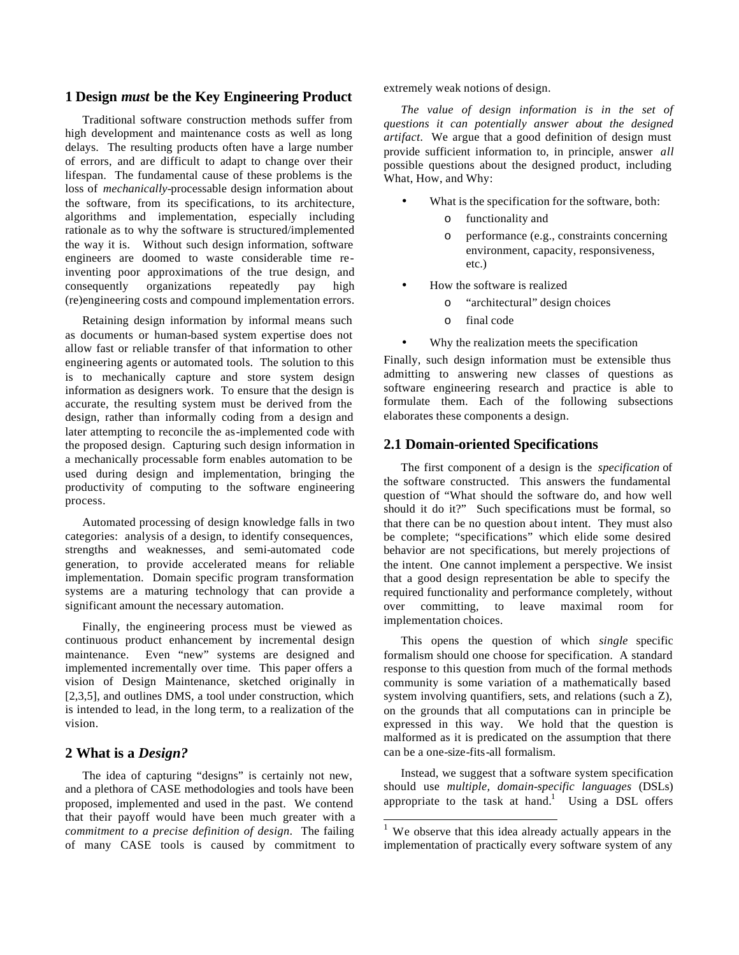#### **1 Design** *must* **be the Key Engineering Product**

Traditional software construction methods suffer from high development and maintenance costs as well as long delays. The resulting products often have a large number of errors, and are difficult to adapt to change over their lifespan. The fundamental cause of these problems is the loss of *mechanically*-processable design information about the software, from its specifications, to its architecture, algorithms and implementation, especially including rationale as to why the software is structured/implemented the way it is. Without such design information, software engineers are doomed to waste considerable time reinventing poor approximations of the true design, and consequently organizations repeatedly pay high (re)engineering costs and compound implementation errors.

Retaining design information by informal means such as documents or human-based system expertise does not allow fast or reliable transfer of that information to other engineering agents or automated tools. The solution to this is to mechanically capture and store system design information as designers work. To ensure that the design is accurate, the resulting system must be derived from the design, rather than informally coding from a design and later attempting to reconcile the as-implemented code with the proposed design. Capturing such design information in a mechanically processable form enables automation to be used during design and implementation, bringing the productivity of computing to the software engineering process.

Automated processing of design knowledge falls in two categories: analysis of a design, to identify consequences, strengths and weaknesses, and semi-automated code generation, to provide accelerated means for reliable implementation. Domain specific program transformation systems are a maturing technology that can provide a significant amount the necessary automation.

Finally, the engineering process must be viewed as continuous product enhancement by incremental design maintenance. Even "new" systems are designed and implemented incrementally over time. This paper offers a vision of Design Maintenance, sketched originally in [2,3,5], and outlines DMS, a tool under construction, which is intended to lead, in the long term, to a realization of the vision.

#### **2 What is a** *Design?*

The idea of capturing "designs" is certainly not new, and a plethora of CASE methodologies and tools have been proposed, implemented and used in the past. We contend that their payoff would have been much greater with a *commitment to a precise definition of design*. The failing of many CASE tools is caused by commitment to

extremely weak notions of design.

*The value of design information is in the set of questions it can potentially answer about the designed artifact.* We argue that a good definition of design must provide sufficient information to, in principle, answer *all* possible questions about the designed product, including What, How, and Why:

- What is the specification for the software, both:
	- o functionality and
	- o performance (e.g., constraints concerning environment, capacity, responsiveness, etc.)
- How the software is realized
	- o "architectural" design choices
	- o final code
- Why the realization meets the specification

Finally, such design information must be extensible thus admitting to answering new classes of questions as software engineering research and practice is able to formulate them. Each of the following subsections elaborates these components a design.

### **2.1 Domain-oriented Specifications**

The first component of a design is the *specification* of the software constructed. This answers the fundamental question of "What should the software do, and how well should it do it?" Such specifications must be formal, so that there can be no question about intent. They must also be complete; "specifications" which elide some desired behavior are not specifications, but merely projections of the intent. One cannot implement a perspective. We insist that a good design representation be able to specify the required functionality and performance completely, without over committing, to leave maximal room for implementation choices.

This opens the question of which *single* specific formalism should one choose for specification. A standard response to this question from much of the formal methods community is some variation of a mathematically based system involving quantifiers, sets, and relations (such a Z), on the grounds that all computations can in principle be expressed in this way. We hold that the question is malformed as it is predicated on the assumption that there can be a one-size-fits-all formalism.

Instead, we suggest that a software system specification should use *multiple, domain-specific languages* (DSLs) appropriate to the task at hand.<sup>1</sup> Using a DSL offers

<sup>&</sup>lt;sup>1</sup> We observe that this idea already actually appears in the implementation of practically every software system of any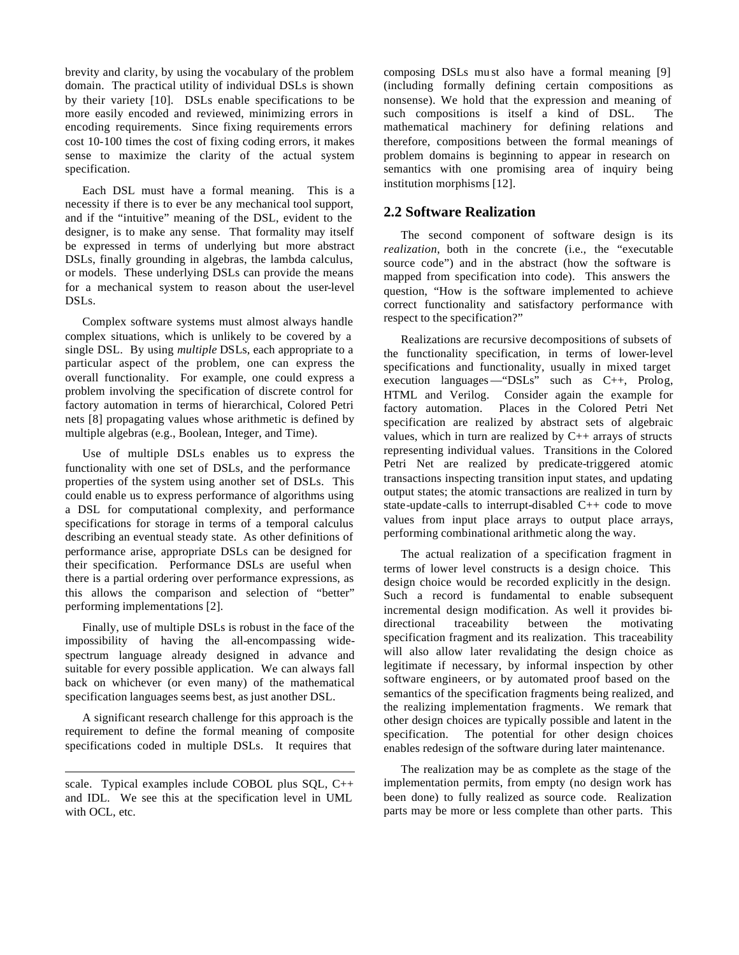brevity and clarity, by using the vocabulary of the problem domain. The practical utility of individual DSLs is shown by their variety [10]. DSLs enable specifications to be more easily encoded and reviewed, minimizing errors in encoding requirements. Since fixing requirements errors cost 10-100 times the cost of fixing coding errors, it makes sense to maximize the clarity of the actual system specification.

Each DSL must have a formal meaning. This is a necessity if there is to ever be any mechanical tool support, and if the "intuitive" meaning of the DSL, evident to the designer, is to make any sense. That formality may itself be expressed in terms of underlying but more abstract DSLs, finally grounding in algebras, the lambda calculus, or models. These underlying DSLs can provide the means for a mechanical system to reason about the user-level DSLs.

Complex software systems must almost always handle complex situations, which is unlikely to be covered by a single DSL. By using *multiple* DSLs, each appropriate to a particular aspect of the problem, one can express the overall functionality. For example, one could express a problem involving the specification of discrete control for factory automation in terms of hierarchical, Colored Petri nets [8] propagating values whose arithmetic is defined by multiple algebras (e.g., Boolean, Integer, and Time).

Use of multiple DSLs enables us to express the functionality with one set of DSLs, and the performance properties of the system using another set of DSLs. This could enable us to express performance of algorithms using a DSL for computational complexity, and performance specifications for storage in terms of a temporal calculus describing an eventual steady state. As other definitions of performance arise, appropriate DSLs can be designed for their specification. Performance DSLs are useful when there is a partial ordering over performance expressions, as this allows the comparison and selection of "better" performing implementations [2].

Finally, use of multiple DSLs is robust in the face of the impossibility of having the all-encompassing widespectrum language already designed in advance and suitable for every possible application. We can always fall back on whichever (or even many) of the mathematical specification languages seems best, as just another DSL.

A significant research challenge for this approach is the requirement to define the formal meaning of composite specifications coded in multiple DSLs. It requires that

composing DSLs mu st also have a formal meaning [9] (including formally defining certain compositions as nonsense). We hold that the expression and meaning of such compositions is itself a kind of DSL. The mathematical machinery for defining relations and therefore, compositions between the formal meanings of problem domains is beginning to appear in research on semantics with one promising area of inquiry being institution morphisms [12].

### **2.2 Software Realization**

The second component of software design is its *realization*, both in the concrete (i.e., the "executable source code") and in the abstract (how the software is mapped from specification into code). This answers the question, "How is the software implemented to achieve correct functionality and satisfactory performance with respect to the specification?"

Realizations are recursive decompositions of subsets of the functionality specification, in terms of lower-level specifications and functionality, usually in mixed target execution languages—"DSLs" such as C++, Prolog, HTML and Verilog. Consider again the example for factory automation. Places in the Colored Petri Net specification are realized by abstract sets of algebraic values, which in turn are realized by  $C_{++}$  arrays of structs representing individual values. Transitions in the Colored Petri Net are realized by predicate-triggered atomic transactions inspecting transition input states, and updating output states; the atomic transactions are realized in turn by state-update-calls to interrupt-disabled C++ code to move values from input place arrays to output place arrays, performing combinational arithmetic along the way.

The actual realization of a specification fragment in terms of lower level constructs is a design choice. This design choice would be recorded explicitly in the design. Such a record is fundamental to enable subsequent incremental design modification. As well it provides bidirectional traceability between the motivating specification fragment and its realization. This traceability will also allow later revalidating the design choice as legitimate if necessary, by informal inspection by other software engineers, or by automated proof based on the semantics of the specification fragments being realized, and the realizing implementation fragments. We remark that other design choices are typically possible and latent in the specification. The potential for other design choices enables redesign of the software during later maintenance.

The realization may be as complete as the stage of the implementation permits, from empty (no design work has been done) to fully realized as source code. Realization parts may be more or less complete than other parts. This

l scale. Typical examples include COBOL plus SQL, C++ and IDL. We see this at the specification level in UML with OCL, etc.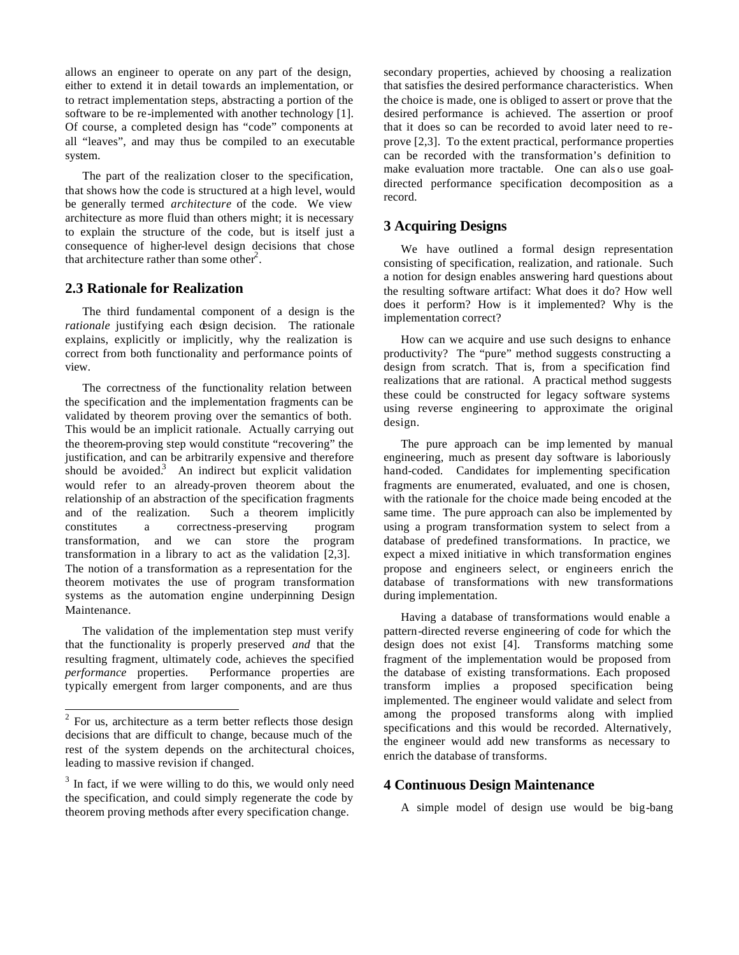allows an engineer to operate on any part of the design, either to extend it in detail towards an implementation, or to retract implementation steps, abstracting a portion of the software to be re-implemented with another technology [1]. Of course, a completed design has "code" components at all "leaves", and may thus be compiled to an executable system.

The part of the realization closer to the specification, that shows how the code is structured at a high level, would be generally termed *architecture* of the code. We view architecture as more fluid than others might; it is necessary to explain the structure of the code, but is itself just a consequence of higher-level design decisions that chose that architecture rather than some other<sup>2</sup>.

### **2.3 Rationale for Realization**

The third fundamental component of a design is the *rationale* justifying each design decision. The rationale explains, explicitly or implicitly, why the realization is correct from both functionality and performance points of view.

The correctness of the functionality relation between the specification and the implementation fragments can be validated by theorem proving over the semantics of both. This would be an implicit rationale. Actually carrying out the theorem-proving step would constitute "recovering" the justification, and can be arbitrarily expensive and therefore should be avoided.<sup>3</sup> An indirect but explicit validation would refer to an already-proven theorem about the relationship of an abstraction of the specification fragments and of the realization. Such a theorem implicitly constitutes a correctness-preserving program transformation, and we can store the program transformation in a library to act as the validation [2,3]. The notion of a transformation as a representation for the theorem motivates the use of program transformation systems as the automation engine underpinning Design Maintenance.

The validation of the implementation step must verify that the functionality is properly preserved *and* that the resulting fragment, ultimately code, achieves the specified *performance* properties. Performance properties are typically emergent from larger components, and are thus

secondary properties, achieved by choosing a realization that satisfies the desired performance characteristics. When the choice is made, one is obliged to assert or prove that the desired performance is achieved. The assertion or proof that it does so can be recorded to avoid later need to reprove [2,3]. To the extent practical, performance properties can be recorded with the transformation's definition to make evaluation more tractable. One can als o use goaldirected performance specification decomposition as a record.

## **3 Acquiring Designs**

We have outlined a formal design representation consisting of specification, realization, and rationale. Such a notion for design enables answering hard questions about the resulting software artifact: What does it do? How well does it perform? How is it implemented? Why is the implementation correct?

How can we acquire and use such designs to enhance productivity? The "pure" method suggests constructing a design from scratch. That is, from a specification find realizations that are rational. A practical method suggests these could be constructed for legacy software systems using reverse engineering to approximate the original design.

The pure approach can be imp lemented by manual engineering, much as present day software is laboriously hand-coded. Candidates for implementing specification fragments are enumerated, evaluated, and one is chosen, with the rationale for the choice made being encoded at the same time. The pure approach can also be implemented by using a program transformation system to select from a database of predefined transformations. In practice, we expect a mixed initiative in which transformation engines propose and engineers select, or engineers enrich the database of transformations with new transformations during implementation.

Having a database of transformations would enable a pattern-directed reverse engineering of code for which the design does not exist [4]. Transforms matching some fragment of the implementation would be proposed from the database of existing transformations. Each proposed transform implies a proposed specification being implemented. The engineer would validate and select from among the proposed transforms along with implied specifications and this would be recorded. Alternatively, the engineer would add new transforms as necessary to enrich the database of transforms.

### **4 Continuous Design Maintenance**

A simple model of design use would be big-bang

<sup>&</sup>lt;sup>2</sup> For us, architecture as a term better reflects those design decisions that are difficult to change, because much of the rest of the system depends on the architectural choices, leading to massive revision if changed.

<sup>&</sup>lt;sup>3</sup> In fact, if we were willing to do this, we would only need the specification, and could simply regenerate the code by theorem proving methods after every specification change.